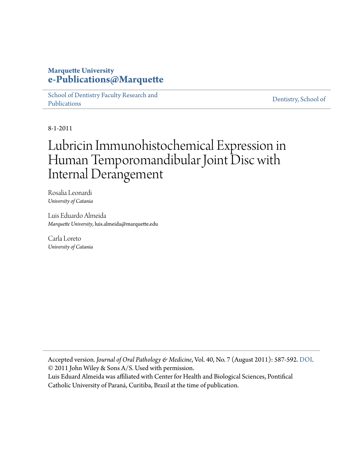#### **Marquette University [e-Publications@Marquette](https://epublications.marquette.edu)**

[School of Dentistry Faculty Research and](https://epublications.marquette.edu/dentistry_fac) [Publications](https://epublications.marquette.edu/dentistry_fac)

[Dentistry, School of](https://epublications.marquette.edu/dentistry)

8-1-2011

# Lubricin Immunohistochemical Expression in Human Temporomandibular Joint Disc with Internal Derangement

Rosalia Leonardi *University of Catania*

Luis Eduardo Almeida *Marquette University*, luis.almeida@marquette.edu

Carla Loreto *University of Catania*

Accepted version*. Journal of Oral Pathology & Medicine*, Vol. 40, No. 7 (August 2011): 587-592. [DOI.](https://doi.org/10.1111/j.1600-0714.2011.01012.x) © 2011 John Wiley & Sons A/S. Used with permission.

Luis Eduard Almeida was affiliated with Center for Health and Biological Sciences, Pontifical Catholic University of Paraná, Curitiba, Brazil at the time of publication.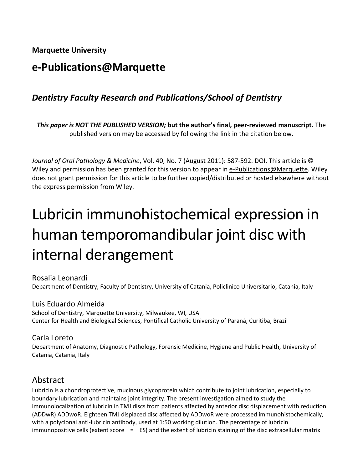**Marquette University**

# **e-Publications@Marquette**

## *Dentistry Faculty Research and Publications/School of Dentistry*

*This paper is NOT THE PUBLISHED VERSION;* **but the author's final, peer-reviewed manuscript.** The published version may be accessed by following the link in the citation below.

*Journal of Oral Pathology & Medicine*, Vol. 40, No. 7 (August 2011): 587-592. DOI. This article is © Wiley and permission has been granted for this version to appear in [e-Publications@Marquette.](http://epublications.marquette.edu/) Wiley does not grant permission for this article to be further copied/distributed or hosted elsewhere without the express permission from Wiley.

# Lubricin immunohistochemical expression in human temporomandibular joint disc with internal derangement

Rosalia Leonardi Department of Dentistry, Faculty of Dentistry, University of Catania, Policlinico Universitario, Catania, Italy

#### Luis Eduardo Almeida

School of Dentistry, Marquette University, Milwaukee, WI, USA Center for Health and Biological Sciences, Pontifical Catholic University of Paraná, Curitiba, Brazil

#### Carla Loreto

Department of Anatomy, Diagnostic Pathology, Forensic Medicine, Hygiene and Public Health, University of Catania, Catania, Italy

#### Abstract

Lubricin is a chondroprotective, mucinous glycoprotein which contribute to joint lubrication, especially to boundary lubrication and maintains joint integrity. The present investigation aimed to study the immunolocalization of lubricin in TMJ discs from patients affected by anterior disc displacement with reduction (ADDwR) ADDwoR. Eighteen TMJ displaced disc affected by ADDwoR were processed immunohistochemically, with a polyclonal anti-lubricin antibody, used at 1:50 working dilution. The percentage of lubricin immunopositive cells (extent score  $=$  ES) and the extent of lubricin staining of the disc extracellular matrix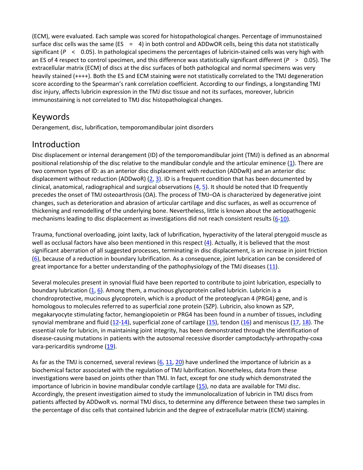(ECM), were evaluated. Each sample was scored for histopathological changes. Percentage of immunostained surface disc cells was the same (ES =  $4$ ) in both control and ADDwOR cells, being this data not statistically significant (*P* < 0.05). In pathological specimens the percentages of lubricin-stained cells was very high with an ES of 4 respect to control specimen, and this difference was statistically significant different (*P* > 0.05). The extracellular matrix (ECM) of discs at the disc surfaces of both pathological and normal specimens was very heavily stained (++++). Both the ES and ECM staining were not statistically correlated to the TMJ degeneration score according to the Spearman's rank correlation coefficient. According to our findings, a longstanding TMJ disc injury, affects lubricin expression in the TMJ disc tissue and not its surfaces, moreover, lubricin immunostaining is not correlated to TMJ disc histopathological changes.

#### Keywords

Derangement, disc, lubrification, temporomandibular joint disorders

## Introduction

Disc displacement or internal derangement (ID) of the temporomandibular joint (TMJ) is defined as an abnormal positional relationship of the disc relative to the mandibular condyle and the articular eminence  $(1)$ . There are two common types of ID: as an anterior disc displacement with reduction (ADDwR) and an anterior disc displacement without reduction (ADDwoR)  $(2, 3)$  $(2, 3)$ . ID is a frequent condition that has been documented by clinical, anatomical, radiographical and surgical observations [\(4,](https://onlinelibrary.wiley.com/doi/full/10.1111/j.1600-0714.2011.01012.x#b4) [5\)](https://onlinelibrary.wiley.com/doi/full/10.1111/j.1600-0714.2011.01012.x#b5). It should be noted that ID frequently precedes the onset of TMJ osteoarthrosis (OA). The process of TMJ–OA is characterized by degenerative joint changes, such as deterioration and abrasion of articular cartilage and disc surfaces, as well as occurrence of thickening and remodelling of the underlying bone. Nevertheless, little is known about the aetiopathogenic mechanisms leading to disc displacement as investigations did not reach consistent results [\(6](https://onlinelibrary.wiley.com/doi/full/10.1111/j.1600-0714.2011.01012.x#b6)[-10\)](https://onlinelibrary.wiley.com/doi/full/10.1111/j.1600-0714.2011.01012.x#b10).

Trauma, functional overloading, joint laxity, lack of lubrification, hyperactivity of the lateral pterygoid muscle as well as occlusal factors have also been mentioned in this respect [\(4\)](https://onlinelibrary.wiley.com/doi/full/10.1111/j.1600-0714.2011.01012.x#b4). Actually, it is believed that the most significant aberration of all suggested processes, terminating in disc displacement, is an increase in joint friction [\(6\)](https://onlinelibrary.wiley.com/doi/full/10.1111/j.1600-0714.2011.01012.x#b6), because of a reduction in boundary lubrification. As a consequence, joint lubrication can be considered of great importance for a better understanding of the pathophysiology of the TMJ diseases  $(11)$ .

Several molecules present in synovial fluid have been reported to contribute to joint lubrication, especially to boundary lubrication [\(1,](https://onlinelibrary.wiley.com/doi/full/10.1111/j.1600-0714.2011.01012.x#b1) [6\)](https://onlinelibrary.wiley.com/doi/full/10.1111/j.1600-0714.2011.01012.x#b6). Among them, a mucinous glycoprotein called lubricin. Lubricin is a chondroprotective, mucinous glycoprotein, which is a product of the proteoglycan 4 (PRG4) gene, and is homologous to molecules referred to as superficial zone protein (SZP). Lubricin, also known as SZP, megakaryocyte stimulating factor, hemangiopoietin or PRG4 has been found in a number of tissues, including synovial membrane and fluid  $(12-14)$  $(12-14)$ , superficial zone of cartilage  $(15)$ , tendon  $(16)$  and meniscus  $(17, 18)$  $(17, 18)$ . The essential role for lubricin, in maintaining joint integrity, has been demonstrated through the identification of disease-causing mutations in patients with the autosomal recessive disorder camptodactyly-arthropathy-coxa vara-pericarditis syndrome [\(19\)](https://onlinelibrary.wiley.com/doi/full/10.1111/j.1600-0714.2011.01012.x#b19).

As far as the TMJ is concerned, several reviews  $(6, 11, 20)$  $(6, 11, 20)$  $(6, 11, 20)$  have underlined the importance of lubricin as a biochemical factor associated with the regulation of TMJ lubrification. Nonetheless, data from these investigations were based on joints other than TMJ. In fact, except for one study which demonstrated the importance of lubricin in bovine mandibular condyle cartilage [\(15\)](https://onlinelibrary.wiley.com/doi/full/10.1111/j.1600-0714.2011.01012.x#b15), no data are available for TMJ disc. Accordingly, the present investigation aimed to study the immunolocalization of lubricin in TMJ discs from patients affected by ADDwoR vs. normal TMJ discs, to determine any difference between these two samples in the percentage of disc cells that contained lubricin and the degree of extracellular matrix (ECM) staining.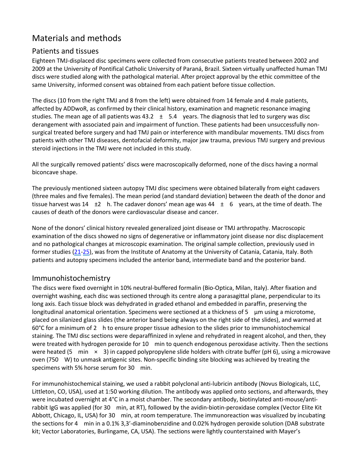# Materials and methods

#### Patients and tissues

Eighteen TMJ-displaced disc specimens were collected from consecutive patients treated between 2002 and 2009 at the University of Pontifical Catholic University of Paraná, Brazil. Sixteen virtually unaffected human TMJ discs were studied along with the pathological material. After project approval by the ethic committee of the same University, informed consent was obtained from each patient before tissue collection.

The discs (10 from the right TMJ and 8 from the left) were obtained from 14 female and 4 male patients, affected by ADDwoR, as confirmed by their clinical history, examination and magnetic resonance imaging studies. The mean age of all patients was  $43.2 \pm 5.4$  years. The diagnosis that led to surgery was disc derangement with associated pain and impairment of function. These patients had been unsuccessfully nonsurgical treated before surgery and had TMJ pain or interference with mandibular movements. TMJ discs from patients with other TMJ diseases, dentofacial deformity, major jaw trauma, previous TMJ surgery and previous steroid injections in the TMJ were not included in this study.

All the surgically removed patients' discs were macroscopically deformed, none of the discs having a normal biconcave shape.

The previously mentioned sixteen autopsy TMJ disc specimens were obtained bilaterally from eight cadavers (three males and five females). The mean period (and standard deviation) between the death of the donor and tissue harvest was  $14 \pm 2$  h. The cadaver donors' mean age was  $44 \pm 6$  years, at the time of death. The causes of death of the donors were cardiovascular disease and cancer.

None of the donors' clinical history revealed generalized joint disease or TMJ arthropathy. Macroscopic examination of the discs showed no signs of degenerative or inflammatory joint disease nor disc displacement and no pathological changes at microscopic examination. The original sample collection, previously used in former studies [\(21-](https://onlinelibrary.wiley.com/doi/full/10.1111/j.1600-0714.2011.01012.x#b21)[25\)](https://onlinelibrary.wiley.com/doi/full/10.1111/j.1600-0714.2011.01012.x#b25), was from the Institute of Anatomy at the University of Catania, Catania, Italy. Both patients and autopsy specimens included the anterior band, intermediate band and the posterior band.

#### Immunohistochemistry

The discs were fixed overnight in 10% neutral-buffered formalin (Bio-Optica, Milan, Italy). After fixation and overnight washing, each disc was sectioned through its centre along a parasagittal plane, perpendicular to its long axis. Each tissue block was dehydrated in graded ethanol and embedded in paraffin, preserving the longitudinal anatomical orientation. Specimens were sectioned at a thickness of 5 μm using a microtome, placed on silanized glass slides (the anterior band being always on the right side of the slides), and warmed at 60°C for a minimum of 2 h to ensure proper tissue adhesion to the slides prior to immunohistochemical staining. The TMJ disc sections were deparaffinized in xylene and rehydrated in reagent alcohol, and then, they were treated with hydrogen peroxide for 10 min to quench endogenous peroxidase activity. Then the sections were heated (5 min  $\times$  3) in capped polypropylene slide holders with citrate buffer (pH 6), using a microwave oven (750 W) to unmask antigenic sites. Non-specific binding site blocking was achieved by treating the specimens with 5% horse serum for 30 min.

For immunohistochemical staining, we used a rabbit polyclonal anti-lubricin antibody (Novus Biologicals, LLC, Littleton, CO, USA), used at 1:50 working dilution. The antibody was applied onto sections, and afterwards, they were incubated overnight at 4°C in a moist chamber. The secondary antibody, biotinylated anti-mouse/antirabbit IgG was applied (for 30 min, at RT), followed by the avidin-biotin-peroxidase complex (Vector Elite Kit Abbott, Chicago, IL, USA) for 30 min, at room temperature. The immunoreaction was visualized by incubating the sections for 4 min in a 0.1% 3,3′‐diaminobenzidine and 0.02% hydrogen peroxide solution (DAB substrate kit; Vector Laboratories, Burlingame, CA, USA). The sections were lightly counterstained with Mayer's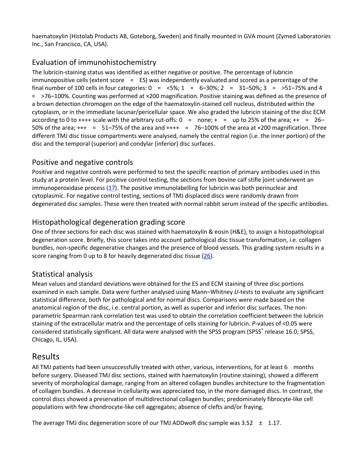haematoxylin (Histolab Products AB, Goteborg, Sweden) and finally mounted in GVA mount (Zymed Laboratories Inc., San Francisco, CA, USA).

#### Evaluation of immunohistochemistry

The lubricin-staining status was identified as either negative or positive. The percentage of lubricin immunopositive cells (extent score  $=$  ES) was independently evaluated and scored as a percentage of the final number of 100 cells in four categories:  $0 = <5\%$ ;  $1 = 6-30\%$ ;  $2 = 31-50\%$ ;  $3 = >51-75\%$  and 4 = >76–100%. Counting was performed at ×200 magnification. Positive staining was defined as the presence of a brown detection chromogen on the edge of the haematoxylin-stained cell nucleus, distributed within the cytoplasm, or in the immediate lacunar/pericellular space. We also graded the lubricin staining of the disc ECM according to 0 to ++++ scale with the arbitrary cut-offs:  $0 =$  none;  $+ =$  up to 25% of the area;  $++ = 26-$ 50% of the area;  $+++ = 51-75%$  of the area and  $+++ = 76-100%$  of the area at  $\times$ 200 magnification. Three different TMJ disc tissue compartments were analysed, namely the central region (i.e. the inner portion) of the disc and the temporal (superior) and condylar (inferior) disc surfaces.

#### Positive and negative controls

Positive and negative controls were performed to test the specific reaction of primary antibodies used in this study at a protein level. For positive control testing, the sections from bovine calf stifle joint underwent an immunoperoxidase process  $(17)$ . The positive immunolabelling for lubricin was both perinuclear and cytoplasmic. For negative control testing, sections of TMJ displaced discs were randomly drawn from degenerated disc samples. These were then treated with normal rabbit serum instead of the specific antibodies.

#### Histopathological degeneration grading score

One of three sections for each disc was stained with haematoxylin & eosin (H&E), to assign a histopathological degeneration score. Briefly, this score takes into account pathological disc tissue transformation, i.e. collagen bundles, non-specific degenerative changes and the presence of blood vessels. This grading system results in a score ranging from 0 up to 8 for heavily degenerated disc tissue [\(26\)](https://onlinelibrary.wiley.com/doi/full/10.1111/j.1600-0714.2011.01012.x#b26).

#### Statistical analysis

Mean values and standard deviations were obtained for the ES and ECM staining of three disc portions examined in each sample. Data were further analysed using Mann–Whitney *U*-tests to evaluate any significant statistical difference, both for pathological and for normal discs. Comparisons were made based on the anatomical region of the disc, i.e. central portion, as well as superior and inferior disc surfaces. The nonparametric Spearman rank correlation test was used to obtain the correlation coefficient between the lubricin staining of the extracellular matrix and the percentage of cells staining for lubricin. *P*-values of <0.05 were considered statistically significant. All data were analysed with the SPSS program (SPSS<sup>®</sup> release 16.0; SPSS, Chicago, IL, USA).

#### Results

All TMJ patients had been unsuccessfully treated with other, various, interventions, for at least 6 months before surgery. Diseased TMJ disc sections, stained with haematoxylin (routine staining), showed a different severity of morphological damage, ranging from an altered collagen bundles architecture to the fragmentation of collagen bundles. A decrease in cellularity was appreciated too, in the more damaged discs. In contrast, the control discs showed a preservation of multidirectional collagen bundles; predominately fibrocyte-like cell populations with few chondrocyte-like cell aggregates; absence of clefts and/or fraying.

The average TMJ disc degeneration score of our TMJ ADDwoR disc sample was  $3.52 \pm 1.17$ .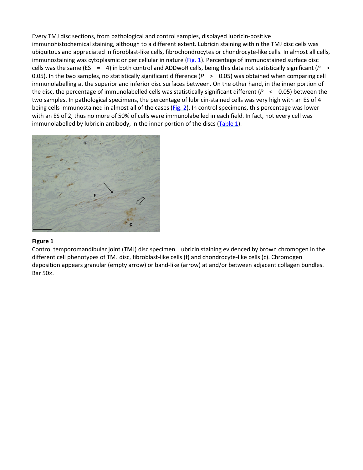Every TMJ disc sections, from pathological and control samples, displayed lubricin-positive immunohistochemical staining, although to a different extent. Lubricin staining within the TMJ disc cells was ubiquitous and appreciated in fibroblast-like cells, fibrochondrocytes or chondrocyte-like cells. In almost all cells, immunostaining was cytoplasmic or pericellular in nature [\(Fig.](https://onlinelibrary.wiley.com/doi/full/10.1111/j.1600-0714.2011.01012.x#f1) 1). Percentage of immunostained surface disc cells was the same (ES = 4) in both control and ADDwoR cells, being this data not statistically significant (*P* > 0.05). In the two samples, no statistically significant difference ( $P > 0.05$ ) was obtained when comparing cell immunolabelling at the superior and inferior disc surfaces between. On the other hand, in the inner portion of the disc, the percentage of immunolabelled cells was statistically significant different (*P* < 0.05) between the two samples. In pathological specimens, the percentage of lubricin-stained cells was very high with an ES of 4 being cells immunostained in almost all of the cases [\(Fig.](https://onlinelibrary.wiley.com/doi/full/10.1111/j.1600-0714.2011.01012.x#f2) 2). In control specimens, this percentage was lower with an ES of 2, thus no more of 50% of cells were immunolabelled in each field. In fact, not every cell was immunolabelled by lubricin antibody, in the inner portion of the discs [\(Table](https://onlinelibrary.wiley.com/doi/full/10.1111/j.1600-0714.2011.01012.x#t1) 1).



#### **Figure 1**

Control temporomandibular joint (TMJ) disc specimen. Lubricin staining evidenced by brown chromogen in the different cell phenotypes of TMJ disc, fibroblast-like cells (f) and chondrocyte-like cells (c). Chromogen deposition appears granular (empty arrow) or band-like (arrow) at and/or between adjacent collagen bundles. Bar 50×.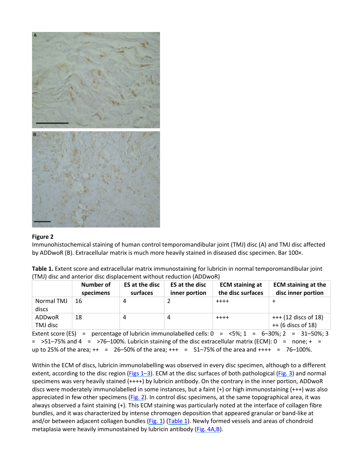

#### **Figure 2**

Immunohistochemical staining of human control temporomandibular joint (TMJ) disc (A) and TMJ disc affected by ADDwoR (B). Extracellular matrix is much more heavily stained in diseased disc specimen. Bar 100×.

| Table 1. Extent score and extracellular matrix immunostaining for lubricin in normal temporomandibular joint |
|--------------------------------------------------------------------------------------------------------------|
| (TMJ) disc and anterior disc displacement without reduction (ADDwoR)                                         |

|                     | Number of<br>specimens | ES at the disc<br>surfaces | ES at the disc<br>inner portion | <b>ECM</b> staining at<br>the disc surfaces | <b>ECM staining at the</b><br>disc inner portion |
|---------------------|------------------------|----------------------------|---------------------------------|---------------------------------------------|--------------------------------------------------|
| Normal TMJ<br>discs | 16                     |                            |                                 | $+ + + +$                                   |                                                  |
| ADDwoR<br>TMJ disc  | 18                     | 4                          | 4                               | $+ + + +$                                   | $++(12$ discs of 18)<br>$++ (6$ discs of 18)     |

Extent score (ES) = percentage of lubricin immunolabelled cells:  $0 = <5\%$ ;  $1 = 6-30\%$ ;  $2 = 31-50\%$ ; 3  $=$  >51–75% and 4 = >76–100%. Lubricin staining of the disc extracellular matrix (ECM): 0 = none; + = up to 25% of the area;  $++ = 26-50$ % of the area;  $++ = 51-75$ % of the area and  $++++ = 76-100$ %.

Within the ECM of discs, lubricin immunolabelling was observed in every disc specimen, although to a different extent, according to the disc region [\(Figs](https://onlinelibrary.wiley.com/doi/full/10.1111/j.1600-0714.2011.01012.x#f1%20#f2%20#f3)  $1-3$ ). ECM at the disc surfaces of both pathological [\(Fig.](https://onlinelibrary.wiley.com/doi/full/10.1111/j.1600-0714.2011.01012.x#f3) 3) and normal specimens was very heavily stained (++++) by lubricin antibody. On the contrary in the inner portion, ADDwoR discs were moderately immunolabelled in some instances, but a faint (+) or high immunostaining (+++) was also appreciated in few other specimens [\(Fig.](https://onlinelibrary.wiley.com/doi/full/10.1111/j.1600-0714.2011.01012.x#f2) 2). In control disc specimens, at the same topographical area, it was always observed a faint staining (+). This ECM staining was particularly noted at the interface of collagen fibre bundles, and it was characterized by intense chromogen deposition that appeared granular or band-like at and/or between adjacent collagen bundles [\(Fig.](https://onlinelibrary.wiley.com/doi/full/10.1111/j.1600-0714.2011.01012.x#f1) 1) [\(Table](https://onlinelibrary.wiley.com/doi/full/10.1111/j.1600-0714.2011.01012.x#t1) 1). Newly formed vessels and areas of chondroid metaplasia were heavily immunostained by lubricin antibody (Fig. [4A,B\)](https://onlinelibrary.wiley.com/doi/full/10.1111/j.1600-0714.2011.01012.x#f4).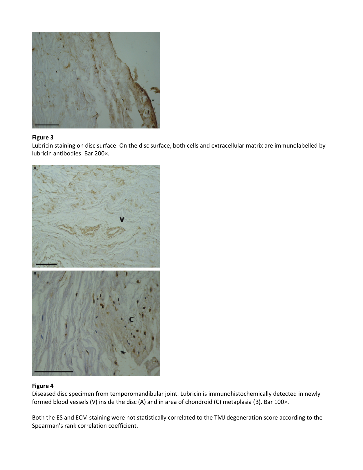

#### **Figure 3**

Lubricin staining on disc surface. On the disc surface, both cells and extracellular matrix are immunolabelled by lubricin antibodies. Bar 200×.



#### **Figure 4**

Diseased disc specimen from temporomandibular joint. Lubricin is immunohistochemically detected in newly formed blood vessels (V) inside the disc (A) and in area of chondroid (C) metaplasia (B). Bar 100×.

Both the ES and ECM staining were not statistically correlated to the TMJ degeneration score according to the Spearman's rank correlation coefficient.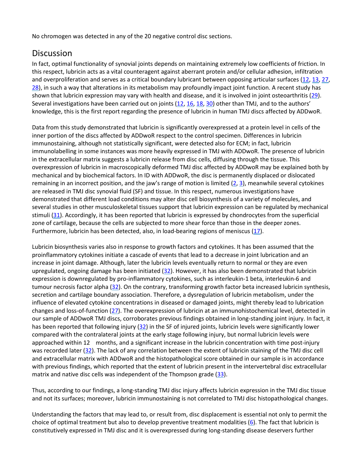No chromogen was detected in any of the 20 negative control disc sections.

### Discussion

In fact, optimal functionality of synovial joints depends on maintaining extremely low coefficients of friction. In this respect, lubricin acts as a vital counteragent against aberrant protein and/or cellular adhesion, infiltration and overproliferation and serves as a critical boundary lubricant between opposing articular surfaces [\(12,](https://onlinelibrary.wiley.com/doi/full/10.1111/j.1600-0714.2011.01012.x#b12) [13,](https://onlinelibrary.wiley.com/doi/full/10.1111/j.1600-0714.2011.01012.x#b13) [27,](https://onlinelibrary.wiley.com/doi/full/10.1111/j.1600-0714.2011.01012.x#b27) [28\)](https://onlinelibrary.wiley.com/doi/full/10.1111/j.1600-0714.2011.01012.x#b28), in such a way that alterations in its metabolism may profoundly impact joint function. A recent study has shown that lubricin expression may vary with health and disease, and it is involved in joint osteoarthritis [\(29\)](https://onlinelibrary.wiley.com/doi/full/10.1111/j.1600-0714.2011.01012.x#b29). Several investigations have been carried out on joints [\(12,](https://onlinelibrary.wiley.com/doi/full/10.1111/j.1600-0714.2011.01012.x#b12) [16,](https://onlinelibrary.wiley.com/doi/full/10.1111/j.1600-0714.2011.01012.x#b16) [18,](https://onlinelibrary.wiley.com/doi/full/10.1111/j.1600-0714.2011.01012.x#b18) [30\)](https://onlinelibrary.wiley.com/doi/full/10.1111/j.1600-0714.2011.01012.x#b30) other than TMJ, and to the authors' knowledge, this is the first report regarding the presence of lubricin in human TMJ discs affected by ADDwoR.

Data from this study demonstrated that lubricin is significantly overexpressed at a protein level in cells of the inner portion of the discs affected by ADDwoR respect to the control specimen. Differences in lubricin immunostaining, although not statistically significant, were detected also for ECM; in fact, lubricin immunolabelling in some instances was more heavily expressed in TMJ with ADDwoR. The presence of lubricin in the extracellular matrix suggests a lubricin release from disc cells, diffusing through the tissue. This overexpression of lubricin in macroscopically deformed TMJ disc affected by ADDwoR may be explained both by mechanical and by biochemical factors. In ID with ADDwoR, the disc is permanently displaced or dislocated remaining in an incorrect position, and the jaw's range of motion is limited  $(2, 3)$  $(2, 3)$ , meanwhile several cytokines are released in TMJ disc synovial fluid (SF) and tissue. In this respect, numerous investigations have demonstrated that different load conditions may alter disc cell biosynthesis of a variety of molecules, and several studies in other musculoskeletal tissues support that lubricin expression can be regulated by mechanical stimuli [\(31\)](https://onlinelibrary.wiley.com/doi/full/10.1111/j.1600-0714.2011.01012.x#b31). Accordingly, it has been reported that lubricin is expressed by chondrocytes from the superficial zone of cartilage, because the cells are subjected to more shear force than those in the deeper zones. Furthermore, lubricin has been detected, also, in load-bearing regions of meniscus  $(17)$ .

Lubricin biosynthesis varies also in response to growth factors and cytokines. It has been assumed that the proinflammatory cytokines initiate a cascade of events that lead to a decrease in joint lubrication and an increase in joint damage. Although, later the lubricin levels eventually return to normal or they are even upregulated, ongoing damage has been initiated [\(32\)](https://onlinelibrary.wiley.com/doi/full/10.1111/j.1600-0714.2011.01012.x#b32). However, it has also been demonstrated that lubricin expression is downregulated by pro-inflammatory cytokines, such as interleukin-1 beta, interleukin-6 and tumour necrosis factor alpha [\(32\)](https://onlinelibrary.wiley.com/doi/full/10.1111/j.1600-0714.2011.01012.x#b32). On the contrary, transforming growth factor beta increased lubricin synthesis, secretion and cartilage boundary association. Therefore, a dysregulation of lubricin metabolism, under the influence of elevated cytokine concentrations in diseased or damaged joints, might thereby lead to lubrication changes and loss-of-function [\(27\)](https://onlinelibrary.wiley.com/doi/full/10.1111/j.1600-0714.2011.01012.x#b27). The overexpression of lubricin at an immunohistochemical level, detected in our sample of ADDwoR TMJ discs, corroborates previous findings obtained in long-standing joint injury. In fact, it has been reported that following injury [\(32\)](https://onlinelibrary.wiley.com/doi/full/10.1111/j.1600-0714.2011.01012.x#b32) in the SF of injured joints, lubricin levels were significantly lower compared with the contralateral joints at the early stage following injury, but normal lubricin levels were approached within 12 months, and a significant increase in the lubricin concentration with time post-injury was recorded later [\(32\)](https://onlinelibrary.wiley.com/doi/full/10.1111/j.1600-0714.2011.01012.x#b32). The lack of any correlation between the extent of lubricin staining of the TMJ disc cell and extracellular matrix with ADDwoR and the histopathological score obtained in our sample is in accordance with previous findings, which reported that the extent of lubricin present in the intervertebral disc extracellular matrix and native disc cells was independent of the Thompson grade  $(33)$ .

Thus, according to our findings, a long-standing TMJ disc injury affects lubricin expression in the TMJ disc tissue and not its surfaces; moreover, lubricin immunostaining is not correlated to TMJ disc histopathological changes.

Understanding the factors that may lead to, or result from, disc displacement is essential not only to permit the choice of optimal treatment but also to develop preventive treatment modalities  $(6)$ . The fact that lubricin is constitutively expressed in TMJ disc and it is overexpressed during long-standing disease deservers further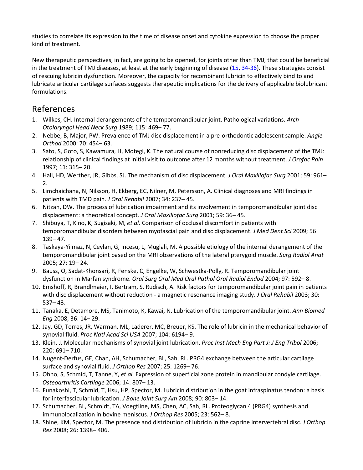studies to correlate its expression to the time of disease onset and cytokine expression to choose the proper kind of treatment.

New therapeutic perspectives, in fact, are going to be opened, for joints other than TMJ, that could be beneficial in the treatment of TMJ diseases, at least at the early beginning of disease [\(15,](https://onlinelibrary.wiley.com/doi/full/10.1111/j.1600-0714.2011.01012.x#b15) [34-](https://onlinelibrary.wiley.com/doi/full/10.1111/j.1600-0714.2011.01012.x#b34)[36\)](https://onlinelibrary.wiley.com/doi/full/10.1111/j.1600-0714.2011.01012.x#b36). These strategies consist of rescuing lubricin dysfunction. Moreover, the capacity for recombinant lubricin to effectively bind to and lubricate articular cartilage surfaces suggests therapeutic implications for the delivery of applicable biolubricant formulations.

#### References

- 1. Wilkes, CH. Internal derangements of the temporomandibular joint. Pathological variations. *Arch Otolaryngol Head Neck Surg* 1989; 115: 469– 77.
- 2. Nebbe, B, Major, PW. Prevalence of TMJ disc displacement in a pre-orthodontic adolescent sample. *Angle Orthod* 2000; 70: 454– 63.
- 3. Sato, S, Goto, S, Kawamura, H, Motegi, K. The natural course of nonreducing disc displacement of the TMJ: relationship of clinical findings at initial visit to outcome after 12 months without treatment. *J Orofac Pain* 1997; 11: 315– 20.
- 4. Hall, HD, Werther, JR, Gibbs, SJ. The mechanism of disc displacement. *J Oral Maxillofac Surg* 2001; 59: 961–  $2<sub>1</sub>$
- 5. Limchaichana, N, Nilsson, H, Ekberg, EC, Nilner, M, Petersson, A. Clinical diagnoses and MRI findings in patients with TMD pain. *J Oral Rehabil* 2007; 34: 237– 45.
- 6. Nitzan, DW. The process of lubrication impairment and its involvement in temporomandibular joint disc displacement: a theoretical concept. *J Oral Maxillofac Surg* 2001; 59: 36– 45.
- 7. Shibuya, T, Kino, K, Sugisaki, M, *et al.* Comparison of occlusal discomfort in patients with temporomandibular disorders between myofascial pain and disc displacement. *J Med Dent Sci* 2009; 56: 139– 47.
- 8. Taskaya-Yilmaz, N, Ceylan, G, Incesu, L, Muglali, M. A possible etiology of the internal derangement of the temporomandibular joint based on the MRI observations of the lateral pterygoid muscle. *Surg Radiol Anat* 2005; 27: 19– 24.
- 9. Bauss, O, Sadat-Khonsari, R, Fenske, C, Engelke, W, Schwestka-Polly, R. Temporomandibular joint dysfunction in Marfan syndrome. *Oral Surg Oral Med Oral Pathol Oral Radiol Endod* 2004; 97: 592– 8.
- 10. Emshoff, R, Brandlmaier, I, Bertram, S, Rudisch, A. Risk factors for temporomandibular joint pain in patients with disc displacement without reduction - a magnetic resonance imaging study. *J Oral Rehabil* 2003; 30: 537– 43.
- 11. Tanaka, E, Detamore, MS, Tanimoto, K, Kawai, N. Lubrication of the temporomandibular joint. *Ann Biomed Eng* 2008; 36: 14– 29.
- 12. Jay, GD, Torres, JR, Warman, ML, Laderer, MC, Breuer, KS. The role of lubricin in the mechanical behavior of synovial fluid. *Proc Natl Acad Sci USA* 2007; 104: 6194– 9.
- 13. Klein, J. Molecular mechanisms of synovial joint lubrication. *Proc Inst Mech Eng Part J: J Eng Tribol* 2006; 220: 691– 710.
- 14. Nugent-Derfus, GE, Chan, AH, Schumacher, BL, Sah, RL. PRG4 exchange between the articular cartilage surface and synovial fluid. *J Orthop Res* 2007; 25: 1269– 76.
- 15. Ohno, S, Schmid, T, Tanne, Y, *et al.* Expression of superficial zone protein in mandibular condyle cartilage. *Osteoarthritis Cartilage* 2006; 14: 807– 13.
- 16. Funakoshi, T, Schmid, T, Hsu, HP, Spector, M. Lubricin distribution in the goat infraspinatus tendon: a basis for interfascicular lubrication. *J Bone Joint Surg Am* 2008; 90: 803– 14.
- 17. Schumacher, BL, Schmidt, TA, Voegtline, MS, Chen, AC, Sah, RL. Proteoglycan 4 (PRG4) synthesis and immunolocalization in bovine meniscus. *J Orthop Res* 2005; 23: 562– 8.
- 18. Shine, KM, Spector, M. The presence and distribution of lubricin in the caprine intervertebral disc. *J Orthop Res* 2008; 26: 1398– 406.